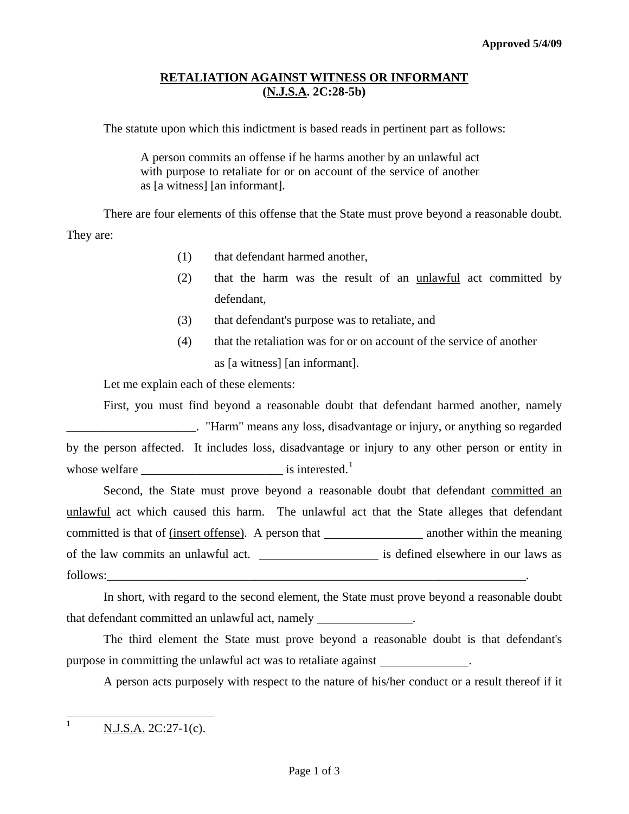## **RETALIATION AGAINST WITNESS OR INFORMANT (N.J.S.A. 2C:28-5b)**

The statute upon which this indictment is based reads in pertinent part as follows:

A person commits an offense if he harms another by an unlawful act with purpose to retaliate for or on account of the service of another as [a witness] [an informant].

 There are four elements of this offense that the State must prove beyond a reasonable doubt. They are:

- (1) that defendant harmed another,
- (2) that the harm was the result of an unlawful act committed by defendant,
- (3) that defendant's purpose was to retaliate, and
- (4) that the retaliation was for or on account of the service of another as [a witness] [an informant].

Let me explain each of these elements:

 First, you must find beyond a reasonable doubt that defendant harmed another, namely \_\_\_\_\_\_\_\_\_\_\_\_\_\_\_\_\_\_\_\_\_. "Harm" means any loss, disadvantage or injury, or anything so regarded by the person affected. It includes loss, disadvantage or injury to any other person or entity in whose welfare  $\qquad \qquad$  is interested.<sup>[1](#page-0-0)</sup>

 Second, the State must prove beyond a reasonable doubt that defendant committed an unlawful act which caused this harm. The unlawful act that the State alleges that defendant committed is that of (insert offense). A person that another within the meaning of the law commits an unlawful act. \_\_\_\_\_\_\_\_\_\_\_\_\_\_\_\_\_\_\_\_\_\_\_ is defined elsewhere in our laws as follows:

 In short, with regard to the second element, the State must prove beyond a reasonable doubt that defendant committed an unlawful act, namely .

 The third element the State must prove beyond a reasonable doubt is that defendant's purpose in committing the unlawful act was to retaliate against .

A person acts purposely with respect to the nature of his/her conduct or a result thereof if it

<span id="page-0-1"></span><span id="page-0-0"></span> $\,1$  $N.J.S.A. 2C:27-1(c).$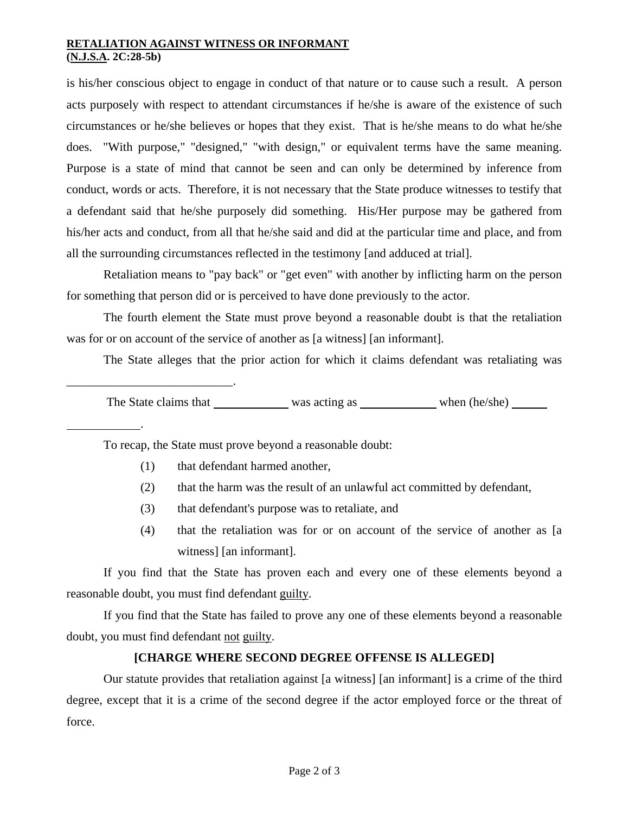## **RETALIATION AGAINST WITNESS OR INFORMANT (N.J.S.A. 2C:28-5b)**

is his/her conscious object to engage in conduct of that nature or to cause such a result. A person acts purposely with respect to attendant circumstances if he/she is aware of the existence of such circumstances or he/she believes or hopes that they exist. That is he/she means to do what he/she does. "With purpose," "designed," "with design," or equivalent terms have the same meaning. Purpose is a state of mind that cannot be seen and can only be determined by inference from conduct, words or acts. Therefore, it is not necessary that the State produce witnesses to testify that a defendant said that he/she purposely did something. His/Her purpose may be gathered from his/her acts and conduct, from all that he/she said and did at the particular time and place, and from all the surrounding circumstances reflected in the testimony [and adduced at trial].

 Retaliation means to "pay back" or "get even" with another by inflicting harm on the person for something that person did or is perceived to have done previously to the actor.

 The fourth element the State must prove beyond a reasonable doubt is that the retaliation was for or on account of the service of another as [a witness] [an informant].

The State alleges that the prior action for which it claims defendant was retaliating was

The State claims that was acting as when (he/she)

To recap, the State must prove beyond a reasonable doubt:

(1) that defendant harmed another,

\_\_\_\_\_\_\_\_\_\_\_\_\_\_\_\_\_\_\_\_\_\_\_\_\_\_\_.

.

- (2) that the harm was the result of an unlawful act committed by defendant,
- (3) that defendant's purpose was to retaliate, and
- (4) that the retaliation was for or on account of the service of another as [a witness] [an informant].

 If you find that the State has proven each and every one of these elements beyond a reasonable doubt, you must find defendant guilty.

 If you find that the State has failed to prove any one of these elements beyond a reasonable doubt, you must find defendant not guilty.

## **[CHARGE WHERE SECOND DEGREE OFFENSE IS ALLEGED]**

 Our statute provides that retaliation against [a witness] [an informant] is a crime of the third degree, except that it is a crime of the second degree if the actor employed force or the threat of force.